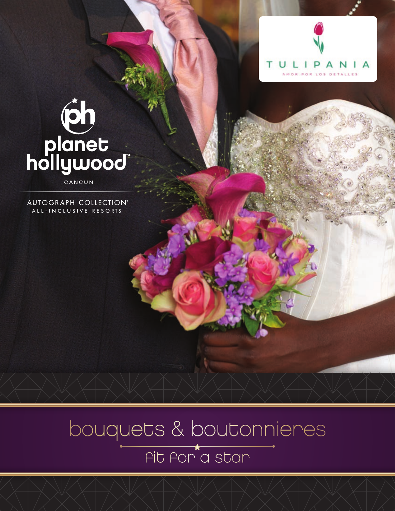

# tion<br>Thange<br>Thollywood

CANCUN

AUTOGRAPH COLLECTION® ALL-INCLUSIVE RESORTS

> bouquets & boutonnieres fit for a star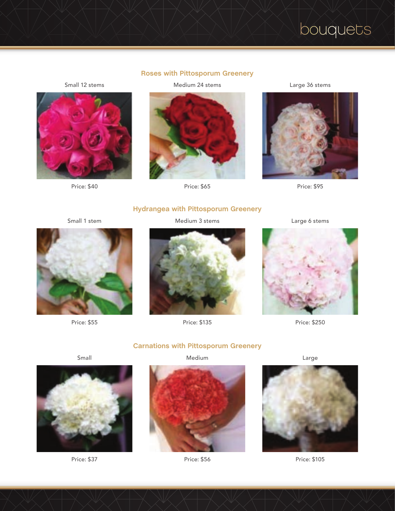# **Roses with Pittosporum Greenery**

Small 12 stems



Price: \$40

Medium 24 stems



Price: \$65

Large 36 stems



Price: \$95

# **Hydrangea with Pittosporum Greenery**

Small 1 stem

Medium 3 stems



Price: \$135

Large 6 stems



Price: \$250



Price: \$55

Small



Price: \$37



Price: \$56





**Carnations with Pittosporum Greenery**

Medium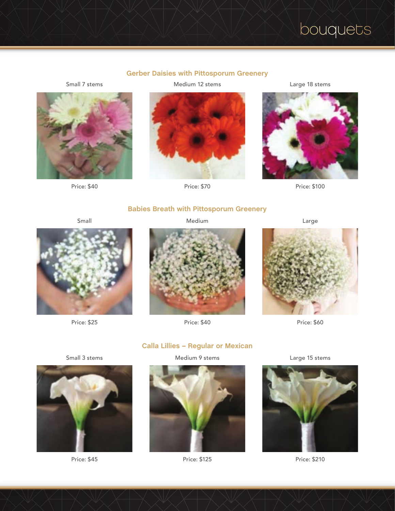# **Gerber Daisies with Pittosporum Greenery**

Small 7 stems



Price: \$40

Medium 12 stems



Price: \$70

Large 18 stems



Price: \$100

# **Babies Breath with Pittosporum Greenery**

Small



Price: \$25

Medium



Price: \$40



Price: \$60





Price: \$45



Medium 9 stems



Price: \$125

Large 15 stems



Price: \$210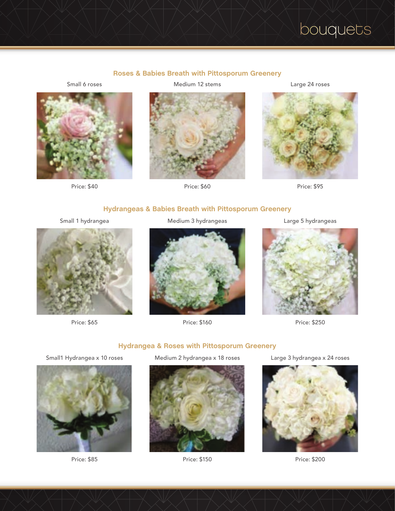# **Roses & Babies Breath with Pittosporum Greenery**

Small 6 roses



Price: \$40

Medium 12 stems



Price: \$60

Large 24 roses



Price: \$95

# **Hydrangeas & Babies Breath with Pittosporum Greenery**

Small 1 hydrangea



Price: \$65

Medium 3 hydrangeas



Price: \$160

Large 5 hydrangeas



Price: \$250

# **Hydrangea & Roses with Pittosporum Greenery** Small1 Hydrangea x 10 roses



Price: \$85





Price: \$150

Large 3 hydrangea x 24 roses



Price: \$200